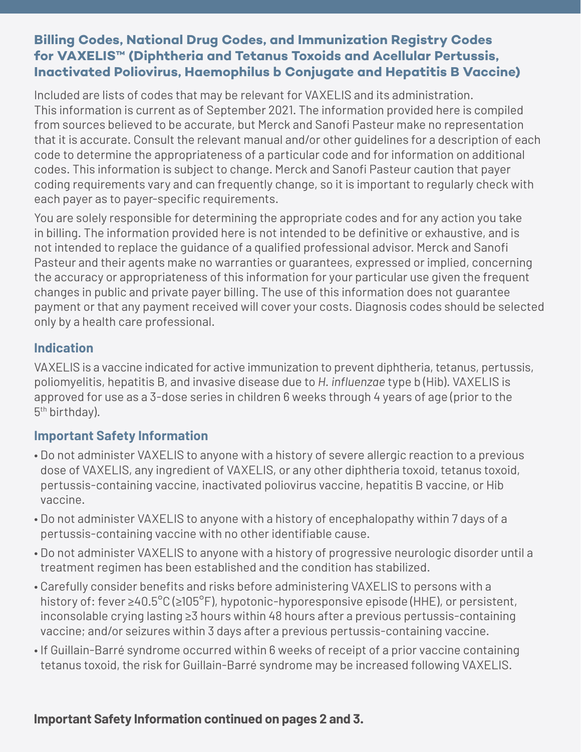## **Billing Codes, National Drug Codes, and Immunization Registry Codes for VAXELIS™ (Diphtheria and Tetanus Toxoids and Acellular Pertussis, Inactivated Poliovirus, Haemophilus b Conjugate and Hepatitis B Vaccine)**

Included are lists of codes that may be relevant for VAXELIS and its administration. This information is current as of September 2021. The information provided here is compiled from sources believed to be accurate, but Merck and Sanofi Pasteur make no representation that it is accurate. Consult the relevant manual and/or other guidelines for a description of each code to determine the appropriateness of a particular code and for information on additional codes. This information is subject to change. Merck and Sanofi Pasteur caution that payer coding requirements vary and can frequently change, so it is important to regularly check with each payer as to payer-specific requirements.

You are solely responsible for determining the appropriate codes and for any action you take in billing. The information provided here is not intended to be definitive or exhaustive, and is not intended to replace the guidance of a qualified professional advisor. Merck and Sanofi Pasteur and their agents make no warranties or guarantees, expressed or implied, concerning the accuracy or appropriateness of this information for your particular use given the frequent changes in public and private payer billing. The use of this information does not guarantee payment or that any payment received will cover your costs. Diagnosis codes should be selected only by a health care professional.

## **Indication**

VAXELIS is a vaccine indicated for active immunization to prevent diphtheria, tetanus, pertussis, poliomyelitis, hepatitis B, and invasive disease due to *H. influenzae* type b (Hib). VAXELIS is approved for use as a 3-dose series in children 6 weeks through 4 years of age (prior to the 5th birthday).

# **Important Safety Information**

- Do not administer VAXELIS to anyone with a history of severe allergic reaction to a previous dose of VAXELIS, any ingredient of VAXELIS, or any other diphtheria toxoid, tetanus toxoid, pertussis-containing vaccine, inactivated poliovirus vaccine, hepatitis B vaccine, or Hib vaccine.
- Do not administer VAXELIS to anyone with a history of encephalopathy within 7 days of a pertussis-containing vaccine with no other identifiable cause.
- Do not administer VAXELIS to anyone with a history of progressive neurologic disorder until a treatment regimen has been established and the condition has stabilized.
- Carefully consider benefits and risks before administering VAXELIS to persons with a history of: fever ≥40.5 $^{\circ}$ C (≥105 $^{\circ}$ F), hypotonic-hyporesponsive episode (HHE), or persistent, inconsolable crying lasting ≥3 hours within 48 hours after a previous pertussis-containing vaccine; and/or seizures within 3 days after a previous pertussis-containing vaccine.
- If Guillain-Barré syndrome occurred within 6 weeks of receipt of a prior vaccine containing tetanus toxoid, the risk for Guillain-Barré syndrome may be increased following VAXELIS.

## **Important Safety Information continued on pages 2 and 3.**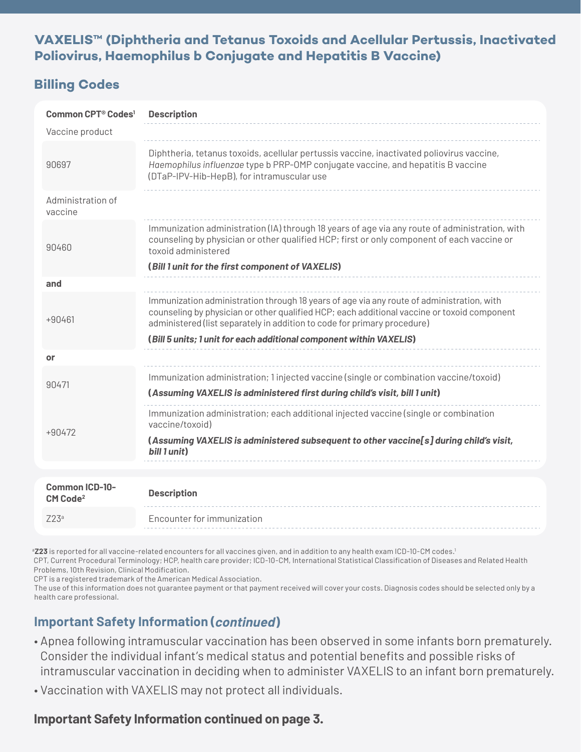#### **VAXELIS™ (Diphtheria and Tetanus Toxoids and Acellular Pertussis, Inactivated Poliovirus, Haemophilus b Conjugate and Hepatitis B Vaccine)**

## **Billing Codes**

| Common CPT <sup>®</sup> Codes <sup>1</sup>    | <b>Description</b>                                                                                                                                                                                                                                                   |  |
|-----------------------------------------------|----------------------------------------------------------------------------------------------------------------------------------------------------------------------------------------------------------------------------------------------------------------------|--|
| Vaccine product                               |                                                                                                                                                                                                                                                                      |  |
| 90697                                         | Diphtheria, tetanus toxoids, acellular pertussis vaccine, inactivated poliovirus vaccine,<br>Haemophilus influenzae type b PRP-OMP conjugate vaccine, and hepatitis B vaccine<br>(DTaP-IPV-Hib-HepB), for intramuscular use                                          |  |
| Administration of<br>vaccine                  |                                                                                                                                                                                                                                                                      |  |
| 90460                                         | Immunization administration (IA) through 18 years of age via any route of administration, with<br>counseling by physician or other qualified HCP; first or only component of each vaccine or<br>toxoid administered                                                  |  |
|                                               | (Bill 1 unit for the first component of VAXELIS)                                                                                                                                                                                                                     |  |
| and                                           |                                                                                                                                                                                                                                                                      |  |
| $+90461$                                      | Immunization administration through 18 years of age via any route of administration, with<br>counseling by physician or other qualified HCP; each additional vaccine or toxoid component<br>administered (list separately in addition to code for primary procedure) |  |
|                                               | (Bill 5 units; 1 unit for each additional component within VAXELIS)                                                                                                                                                                                                  |  |
| or                                            |                                                                                                                                                                                                                                                                      |  |
| 90471                                         | Immunization administration; 1 injected vaccine (single or combination vaccine/toxoid)<br>(Assuming VAXELIS is administered first during child's visit, bill 1 unit)                                                                                                 |  |
| $+90472$                                      | Immunization administration; each additional injected vaccine (single or combination<br>vaccine/toxoid)                                                                                                                                                              |  |
|                                               | (Assuming VAXELIS is administered subsequent to other vaccine[s] during child's visit,<br>bill 1 unit)                                                                                                                                                               |  |
|                                               |                                                                                                                                                                                                                                                                      |  |
| <b>Common ICD-10-</b><br>CM Code <sup>2</sup> | <b>Description</b>                                                                                                                                                                                                                                                   |  |
| Z23a                                          | Encounter for immunization                                                                                                                                                                                                                                           |  |

**Z23** is reported for all vaccine-related encounters for all vaccines given, and in addition to any health exam ICD-10-CM codes.<sup>1</sup> CPT, Current Procedural Terminology; HCP, health care provider; ICD-10-CM, International Statistical Classification of Diseases and Related Health Problems, 10th Revision, Clinical Modification.

CPT is a registered trademark of the American Medical Association.

The use of this information does not guarantee payment or that payment received will cover your costs. Diagnosis codes should be selected only by a health care professional.

# **Important Safety Information (continued)**

- Apnea following intramuscular vaccination has been observed in some infants born prematurely. Consider the individual infant's medical status and potential benefits and possible risks of intramuscular vaccination in deciding when to administer VAXELIS to an infant born prematurely.
- Vaccination with VAXELIS may not protect all individuals.

## **Important Safety Information continued on page 3.**